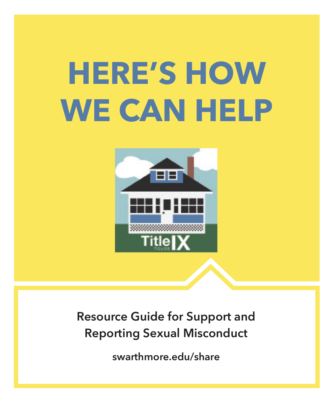# **HERE'S HOW WE CAN HELP**



**Resource Guide for Support and Reporting Sexual Misconduct**

**swarthmore.edu/share**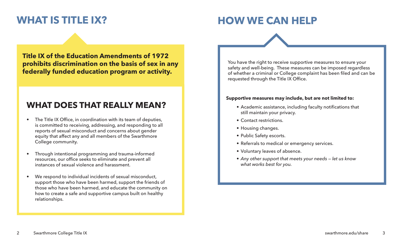# **WHAT IS TITLE IX?**

# **HOW WE CAN HELP**

**Title IX of the Education Amendments of 1972 prohibits discrimination on the basis of sex in any federally funded education program or activity.**

# **WHAT DOES THAT REALLY MEAN?**

- The Title IX Office, in coordination with its team of deputies, is committed to receiving, addressing, and responding to all reports of sexual misconduct and concerns about gender equity that affect any and all members of the Swarthmore College community.
- Through intentional programming and trauma-informed resources, our office seeks to eliminate and prevent all instances of sexual violence and harassment.
- We respond to individual incidents of sexual misconduct. support those who have been harmed, support the friends of those who have been harmed, and educate the community on how to create a safe and supportive campus built on healthy relationships.

You have the right to receive supportive measures to ensure your safety and well-being. These measures can be imposed regardless of whether a criminal or College complaint has been filed and can be requested through the Title IX Office.

#### **Supportive measures may include, but are not limited to:**

- Academic assistance, including faculty notifications that still maintain your privacy.
- Contact restrictions.
- Housing changes.
- Public Safety escorts.
- Referrals to medical or emergency services.
- Voluntary leaves of absence.
- *• Any other support that meets your needs let us know what works best for you.*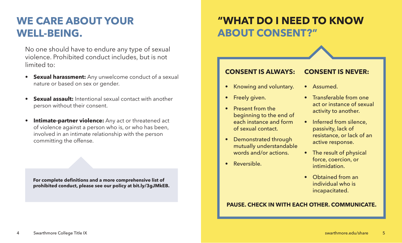# **WE CARE ABOUT YOUR WELL-BEING.**

No one should have to endure any type of sexual violence. Prohibited conduct includes, but is not limited to:

- **Sexual harassment:** Any unwelcome conduct of a sexual nature or based on sex or gender.
- **Sexual assault:** Intentional sexual contact with another person without their consent.
- **Intimate-partner violence:** Any act or threatened act of violence against a person who is, or who has been, involved in an intimate relationship with the person committing the offense.

**For complete definitions and a more comprehensive list of prohibited conduct, please see our policy at bit.ly/3gJMkEB.**

# **"WHAT DO I NEED TO KNOW ABOUT CONSENT?"**

# **CONSENT IS ALWAYS:**

- Knowing and voluntary.
- Freely given.
- Present from the beginning to the end of each instance and form of sexual contact.
- Demonstrated through mutually understandable words and/or actions.
- Reversible.

# **CONSENT IS NEVER:**

- Assumed.
- Transferable from one act or instance of sexual activity to another.
- Inferred from silence, passivity, lack of resistance, or lack of an active response.
- The result of physical force, coercion, or intimidation.
- Obtained from an individual who is incapacitated.

# **PAUSE. CHECK IN WITH EACH OTHER. COMMUNICATE.**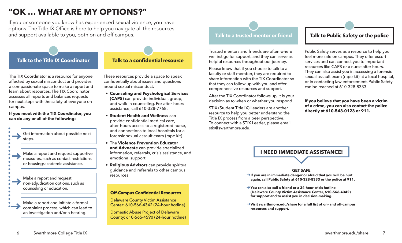# **"OK … WHAT ARE MY OPTIONS?"**

If you or someone you know has experienced sexual violence, you have options. The Title IX Office is here to help you navigate all the resources and support available to you, both on and off campus.

# **Talk to the Title IX Coordinator**

The TIX Coordinator is a resource for anyone affected by sexual misconduct and provides a compassionate space to make a report and learn about resources. The TIX Coordinator assesses all reports and balances requests for next steps with the safety of everyone on campus.

#### **If you meet with the TIX Coordinator, you can do any or all of the following:**

|  |  | Get information about possible next<br>steps.                                                                     |
|--|--|-------------------------------------------------------------------------------------------------------------------|
|  |  |                                                                                                                   |
|  |  | Make a report and request supportive<br>measures, such as contact restrictions<br>or housing/academic assistance. |
|  |  |                                                                                                                   |
|  |  | Make a report and request<br>non-adjudication options, such as<br>counseling or education.                        |
|  |  |                                                                                                                   |
|  |  | Make a report and initiate a formal<br>complaint process, which can lead to<br>an investigation and/or a hearing. |

# **Talk to a confidential resource**

These resources provide a space to speak confidentially about issues and questions around sexual misconduct.

- **• Counseling and Psychological Services (CAPS)** can provide individual, group, and walk-in counseling. For after-hours assistance, call 610-328-7768.
- **• Student Health and Wellness** can provide confidential medical care, after-hours access to a registered nurse, and connections to local hospitals for a forensic sexual assault exam (rape kit).
- The **Violence Prevention Educator and Advocate** can provide specialized information, referrals, crisis assistance, and emotional support.
- **• Religious Advisors** can provide spiritual guidance and referrals to other campus resources.

#### **Off-Campus Confidential Resources**

Delaware County Victim Assistance Center: 610-566-4342 (24-hour hotline)

Domestic Abuse Project of Delaware County: 610-565-4590 (24-hour hotline)

#### **Talk to a trusted mentor or friend**

Trusted mentors and friends are often where we first go for support, and they can serve as helpful resources throughout our journey.

Please know that if you choose to talk to a faculty or staff member, they are required to share information with the TIX Coordinator so that they can follow up with you and offer comprehensive resources and support.

After the TIX Coordinator follows up, it is your decision as to when or whether you respond.

STIX (Student Title IX) Leaders are another resource to help you better understand the Title IX process from a peer perspective. To connect with a STIX Leader, please email stix@swarthmore.edu.

### **Talk to Public Safety or the police**

Public Safety serves as a resource to help you feel more safe on campus. They offer escort services and can connect you to important resources like CAPS or a nurse after hours. They can also assist you in accessing a forensic sexual assault exam (rape kit) at a local hospital, or in contacting law enforcement. Public Safety can be reached at 610-328-8333.

#### **If you believe that you have been a victim of a crime, you can also contact the police directly at 610-543-0123 or 911.**

## **I NEED IMMEDIATE ASSISTANCE!**

#### **GET SAFE**

- ➔**If you are in immediate danger or afraid that you will be hurt again, call Public Safety at 610-328-8333 or the police at 911.**
- ➔**You can also call a friend or a 24-hour crisis hotline (Delaware County Victim Assistance Center, 610-566-4342) for support and to assist you in decision-making.**
- ➔**Visit swarthmore.edu/share for a full list of on- and off-campus resources and support.**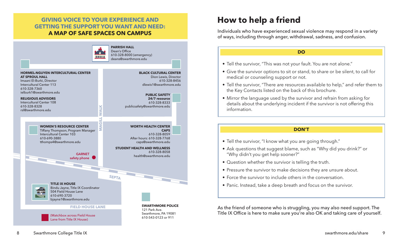# **GIVING VOICE TO YOUR EXPERIENCE AND GETTING THE SUPPORT YOU WANT AND NEED: A MAP OF SAFE SPACES ON CAMPUS**



# **How to help a friend**

Individuals who have experienced sexual violence may respond in a variety of ways, including through anger, withdrawal, sadness, and confusion.

#### **DO**

- Tell the survivor, "This was not your fault. You are not alone."
- Give the survivor options to sit or stand, to share or be silent, to call for medical or counseling support or not.
- Tell the survivor, "There are resources available to help," and refer them to the Key Contacts listed on the back of this brochure.
- Mirror the language used by the survivor and refrain from asking for details about the underlying incident if the survivor is not offering this information.

#### **DON'T**

- Tell the survivor, "I know what you are going through."
- Ask questions that suggest blame, such as "Why did you drink?" or "Why didn't you get help sooner?"
- Question whether the survivor is telling the truth.
- Pressure the survivor to make decisions they are unsure about.
- Force the survivor to include others in the conversation.
- Panic. Instead, take a deep breath and focus on the survivor.

As the friend of someone who is struggling, you may also need support. The Title IX Office is here to make sure you're also OK and taking care of yourself.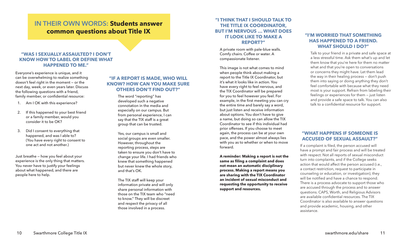# **IN THEIR OWN WORDS: Students answer common questions about Title IX**

#### **"WAS I SEXUALLY ASSAULTED? I DON'T KNOW HOW TO LABEL OR DEFINE WHAT HAPPENED TO ME."**

Everyone's experience is unique, and it can be overwhelming to realize something doesn't feel right in the moment — or the next day, week, or even years later. Discuss the following questions with a friend, family member, or confidential resource:

- 1. Am I OK with this experience?
- 2. If this happened to your best friend or a family member, would you consider it to be OK?
- 3. Did I consent to everything that happened, and was I able to? (You have every right to consent to one act and not another.)

Just breathe — how you feel about your experience is the only thing that matters. You never have to justify your feelings about what happened, and there are people here to help.

#### **"IF A REPORT IS MADE, WHO WILL KNOW? HOW CAN YOU MAKE SURE OTHERS DON'T FIND OUT?"**

The word "reporting" has developed such a negative connotation in the media and especially on our campus. But from personal experience, I can say that the TIX staff is a great group that can be trusted.

Yes, our campus is small and social groups are even smaller. However, throughout the reporting process, steps are taken to ensure you don't have to change your life. I had friends who knew that something happened but never knew the whole story, and that's OK.

The TIX staff will keep your information private and will only share personal information with those on the TIX team who "need to know." They will be discreet and respect the privacy of all those involved in a process.

#### **"I THINK THAT I SHOULD TALK TO THE TITLE IX COORDINATOR, BUT I'M NERVOUS … WHAT DOES IT LOOK LIKE TO MAKE A REPORT?"**

Comfy chairs. Coffee or water. A compassionate listener.

This image is not what comes to mind when people think about making a report to the Title IX Coordinator, but it's what it looks like in action. You have every right to feel nervous, and the TIX Coordinator will be prepared for you to feel however you feel. For example, in the first meeting you can cry the entire time and barely say a word, but just listen and receive information about options. You don't have to give a name, but doing so can allow the TIX Coordinator to see if this individual had prior offenses. If you choose to meet again, the process can be at your own pace, and the power almost always lies with you as to whether or when to move forward.

**A reminder: Making a report is not the same as filing a complaint and does not mean an automatic disciplinary process. Making a report means you are sharing with the TIX Coordinator an incident of sexual misconduct and requesting the opportunity to receive support and resources.**

### **"I'M WORRIED THAT SOMETHING HAS HAPPENED TO A FRIEND. WHAT SHOULD I DO?"** A private room with pale-blue walls.

Talk to your friend in a private and safe space at a less stressful time. Ask them what's up and let them know that you're here for them no matter what and that you're open to conversations or concerns they might have. Let them lead the way in their healing process — don't push them into saying or doing anything they don't feel comfortable with because what they need most is your support. Refrain from labeling their feelings or experiences for them — just listen and provide a safe space to talk. You can also talk to a confidential resource for support.

#### **"WHAT HAPPENS IF SOMEONE IS ACCUSED OF SEXUAL ASSAULT?"**

If a complaint is filed, the person accused will have a prompt and fair process and will be treated with respect. Not all reports of sexual misconduct turn into complaints, and if the College seeks action that would affect the person accused (i.e., a contact restriction, request to participate in counseling or education, or investigation), they will be notified and have a chance to respond. There is a process advocate to support those who are accused through the process and to answer questions. CAPS, Worth, and Religious Advisors are available confidential resources. The TIX Coordinator is also available to answer questions and provide academic, housing, and other assistance.